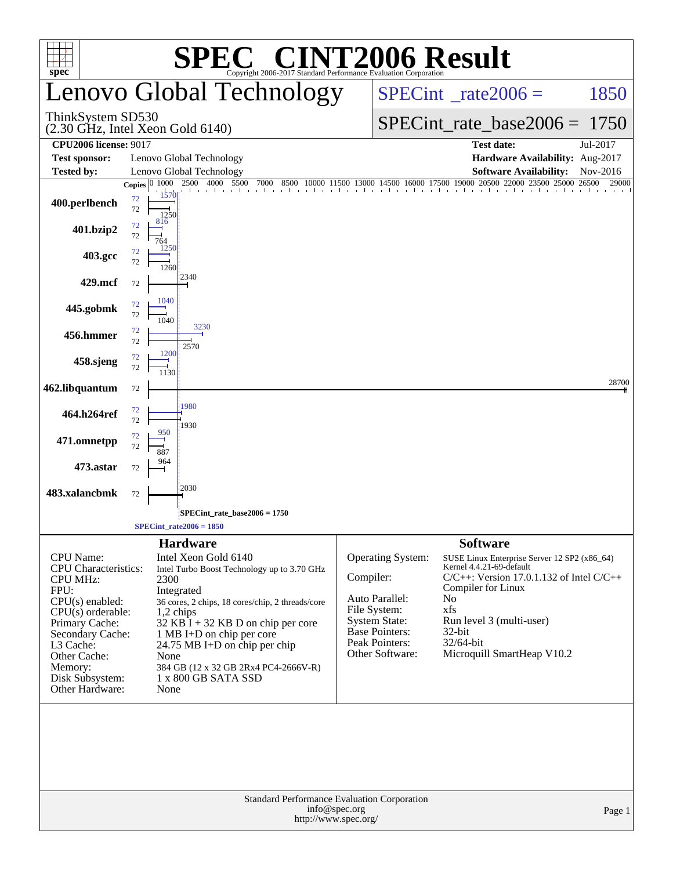|                                                                                                                                                                                                                                            |                                                                                                                                                                                                                                                                                                                                                                                 | <b>INT2006 Result</b>                                                                                                                                                                                                                                                                                          |                                                                                                                             |
|--------------------------------------------------------------------------------------------------------------------------------------------------------------------------------------------------------------------------------------------|---------------------------------------------------------------------------------------------------------------------------------------------------------------------------------------------------------------------------------------------------------------------------------------------------------------------------------------------------------------------------------|----------------------------------------------------------------------------------------------------------------------------------------------------------------------------------------------------------------------------------------------------------------------------------------------------------------|-----------------------------------------------------------------------------------------------------------------------------|
| $spec^*$                                                                                                                                                                                                                                   | Copyright 2006-2017 Standard Performance Evaluation Corporation<br>Lenovo Global Technology                                                                                                                                                                                                                                                                                     | $SPECint^{\circ}$ <sub>_rate2006</sub> =                                                                                                                                                                                                                                                                       | 1850                                                                                                                        |
| ThinkSystem SD530                                                                                                                                                                                                                          | $(2.30$ GHz, Intel Xeon Gold $6140$ )                                                                                                                                                                                                                                                                                                                                           |                                                                                                                                                                                                                                                                                                                | $SPECint_rate_base2006 = 1750$                                                                                              |
| <b>CPU2006 license: 9017</b>                                                                                                                                                                                                               |                                                                                                                                                                                                                                                                                                                                                                                 | <b>Test date:</b>                                                                                                                                                                                                                                                                                              | Jul-2017                                                                                                                    |
| <b>Test sponsor:</b><br>Tested by:                                                                                                                                                                                                         | Lenovo Global Technology<br>Lenovo Global Technology                                                                                                                                                                                                                                                                                                                            |                                                                                                                                                                                                                                                                                                                | Hardware Availability: Aug-2017<br><b>Software Availability:</b><br>Nov-2016                                                |
|                                                                                                                                                                                                                                            | Copies 0 1000 2500 4000 5500<br>7000<br>8500                                                                                                                                                                                                                                                                                                                                    | 500 10000 11500 13000 14500 16000 17500 19000 20500 22000 23500 25000 26500                                                                                                                                                                                                                                    | 29000                                                                                                                       |
| 400.perlbench                                                                                                                                                                                                                              | the contractor of the contractor<br>1570<br>72<br>72<br>1250                                                                                                                                                                                                                                                                                                                    |                                                                                                                                                                                                                                                                                                                |                                                                                                                             |
| 401.bzip2                                                                                                                                                                                                                                  | 816<br>72<br>72<br>764<br>1250                                                                                                                                                                                                                                                                                                                                                  |                                                                                                                                                                                                                                                                                                                |                                                                                                                             |
| 403.gcc                                                                                                                                                                                                                                    | 72<br>72<br>1260<br>2340                                                                                                                                                                                                                                                                                                                                                        |                                                                                                                                                                                                                                                                                                                |                                                                                                                             |
| 429.mcf                                                                                                                                                                                                                                    | 72                                                                                                                                                                                                                                                                                                                                                                              |                                                                                                                                                                                                                                                                                                                |                                                                                                                             |
| 445.gobmk                                                                                                                                                                                                                                  | 1040<br>72<br>72<br>1040<br>3230                                                                                                                                                                                                                                                                                                                                                |                                                                                                                                                                                                                                                                                                                |                                                                                                                             |
| 456.hmmer                                                                                                                                                                                                                                  | $72\,$<br>72<br>2570                                                                                                                                                                                                                                                                                                                                                            |                                                                                                                                                                                                                                                                                                                |                                                                                                                             |
| 458.sjeng                                                                                                                                                                                                                                  | 1200<br>72<br>72<br>1130                                                                                                                                                                                                                                                                                                                                                        |                                                                                                                                                                                                                                                                                                                |                                                                                                                             |
| 462.libquantum                                                                                                                                                                                                                             | 72                                                                                                                                                                                                                                                                                                                                                                              |                                                                                                                                                                                                                                                                                                                | 28700                                                                                                                       |
| 464.h264ref                                                                                                                                                                                                                                | :1980<br>72<br>72<br>1930                                                                                                                                                                                                                                                                                                                                                       |                                                                                                                                                                                                                                                                                                                |                                                                                                                             |
| 471.omnetpp                                                                                                                                                                                                                                | 950<br>72<br>72<br>887                                                                                                                                                                                                                                                                                                                                                          |                                                                                                                                                                                                                                                                                                                |                                                                                                                             |
| 473.astar                                                                                                                                                                                                                                  | 72                                                                                                                                                                                                                                                                                                                                                                              |                                                                                                                                                                                                                                                                                                                |                                                                                                                             |
| 483.xalancbmk                                                                                                                                                                                                                              | 2030<br>72                                                                                                                                                                                                                                                                                                                                                                      |                                                                                                                                                                                                                                                                                                                |                                                                                                                             |
|                                                                                                                                                                                                                                            | SPECint_rate_base2006 = 1750                                                                                                                                                                                                                                                                                                                                                    |                                                                                                                                                                                                                                                                                                                |                                                                                                                             |
|                                                                                                                                                                                                                                            | $SPECint_rate2006 = 1850$                                                                                                                                                                                                                                                                                                                                                       |                                                                                                                                                                                                                                                                                                                |                                                                                                                             |
| <b>CPU</b> Name:<br><b>CPU</b> Characteristics:<br><b>CPU MHz:</b><br>FPU:<br>$CPU(s)$ enabled:<br>$CPU(s)$ orderable:<br>Primary Cache:<br>Secondary Cache:<br>L3 Cache:<br>Other Cache:<br>Memory:<br>Disk Subsystem:<br>Other Hardware: | <b>Hardware</b><br>Intel Xeon Gold 6140<br>Intel Turbo Boost Technology up to 3.70 GHz<br>2300<br>Integrated<br>36 cores, 2 chips, 18 cores/chip, 2 threads/core<br>$1,2$ chips<br>32 KB $\overline{I}$ + 32 KB D on chip per core<br>1 MB I+D on chip per core<br>24.75 MB I+D on chip per chip<br>None<br>384 GB (12 x 32 GB 2Rx4 PC4-2666V-R)<br>1 x 800 GB SATA SSD<br>None | <b>Software</b><br><b>Operating System:</b><br>Kernel 4.4.21-69-default<br>Compiler:<br>Compiler for Linux<br>Auto Parallel:<br>N <sub>0</sub><br>xfs<br>File System:<br><b>System State:</b><br>Run level 3 (multi-user)<br><b>Base Pointers:</b><br>32-bit<br>Peak Pointers:<br>32/64-bit<br>Other Software: | SUSE Linux Enterprise Server 12 SP2 (x86_64)<br>$C/C++$ : Version 17.0.1.132 of Intel $C/C++$<br>Microquill SmartHeap V10.2 |
|                                                                                                                                                                                                                                            | Standard Performance Evaluation Corporation<br>info@spec.org<br>http://www.spec.org/                                                                                                                                                                                                                                                                                            |                                                                                                                                                                                                                                                                                                                | Page 1                                                                                                                      |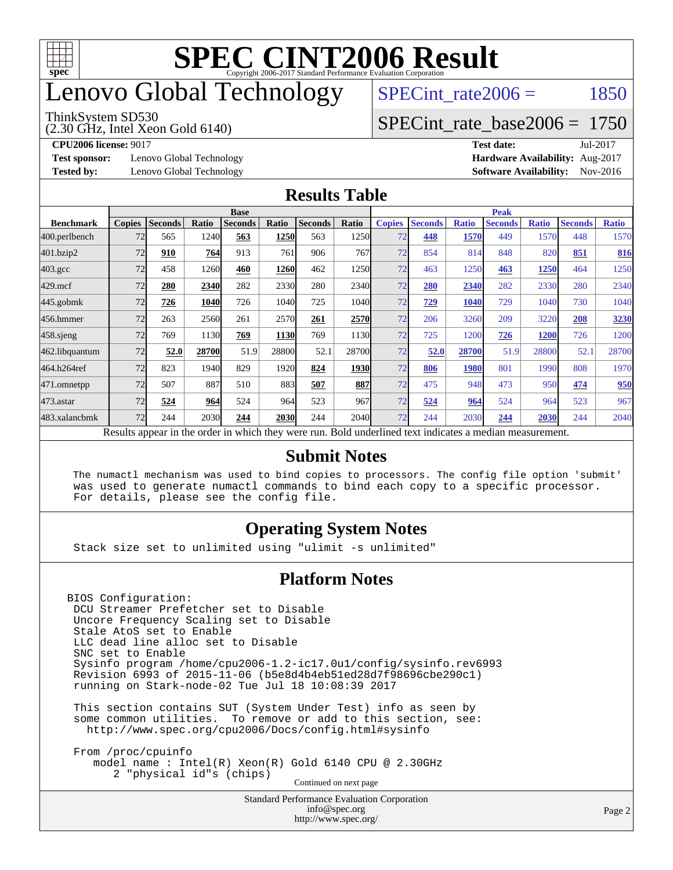

# enovo Global Technology

#### ThinkSystem SD530

(2.30 GHz, Intel Xeon Gold 6140)

SPECint rate $2006 = 1850$ 

#### [SPECint\\_rate\\_base2006 =](http://www.spec.org/auto/cpu2006/Docs/result-fields.html#SPECintratebase2006) 1750

**[CPU2006 license:](http://www.spec.org/auto/cpu2006/Docs/result-fields.html#CPU2006license)** 9017 **[Test date:](http://www.spec.org/auto/cpu2006/Docs/result-fields.html#Testdate)** Jul-2017

**[Test sponsor:](http://www.spec.org/auto/cpu2006/Docs/result-fields.html#Testsponsor)** Lenovo Global Technology **[Hardware Availability:](http://www.spec.org/auto/cpu2006/Docs/result-fields.html#HardwareAvailability)** Aug-2017

**[Tested by:](http://www.spec.org/auto/cpu2006/Docs/result-fields.html#Testedby)** Lenovo Global Technology **[Software Availability:](http://www.spec.org/auto/cpu2006/Docs/result-fields.html#SoftwareAvailability)** Nov-2016

#### **[Results Table](http://www.spec.org/auto/cpu2006/Docs/result-fields.html#ResultsTable)**

|                                                                                                          | <b>Base</b>   |                |       |                |       |                | <b>Peak</b> |               |                |              |                |              |                |              |
|----------------------------------------------------------------------------------------------------------|---------------|----------------|-------|----------------|-------|----------------|-------------|---------------|----------------|--------------|----------------|--------------|----------------|--------------|
| <b>Benchmark</b>                                                                                         | <b>Copies</b> | <b>Seconds</b> | Ratio | <b>Seconds</b> | Ratio | <b>Seconds</b> | Ratio       | <b>Copies</b> | <b>Seconds</b> | <b>Ratio</b> | <b>Seconds</b> | <b>Ratio</b> | <b>Seconds</b> | <b>Ratio</b> |
| 400.perlbench                                                                                            | 72            | 565            | 1240  | 563            | 1250  | 563            | 1250        | 72            | 448            | 1570         | 449            | 1570         | 448            | 1570         |
| 401.bzip2                                                                                                | 72            | 910            | 764   | 913            | 761   | 906            | 767l        | 72            | 854            | 814          | 848            | 820          | 851            | 816          |
| $403.\mathrm{gcc}$                                                                                       | 72            | 458            | 1260  | 460            | 1260  | 462            | 1250        | 72            | 463            | 1250         | 463            | 1250         | 464            | 1250         |
| $429$ .mcf                                                                                               | 72            | 280            | 2340  | 282            | 2330  | 280            | 2340        | 72            | 280            | 2340         | 282            | 2330         | 280            | 2340         |
| $445$ .gobm $k$                                                                                          | 72            | 726            | 1040  | 726            | 1040  | 725            | 1040l       | 72            | 729            | 1040         | 729            | 1040         | 730            | 1040         |
| 456.hmmer                                                                                                | 72            | 263            | 2560  | 261            | 2570  | 261            | 2570        | 72            | 206            | 3260         | 209            | 3220         | 208            | 3230         |
| $458$ .sjeng                                                                                             | 72            | 769            | 1130  | 769            | 1130  | 769            | 1130        | 72            | 725            | 1200         | 726            | <b>1200</b>  | 726            | 1200         |
| 462.libquantum                                                                                           | 72            | 52.0           | 28700 | 51.9           | 28800 | 52.1           | 28700       | 72            | 52.0           | 28700        | 51.9           | 28800        | 52.1           | 28700        |
| 464.h264ref                                                                                              | 72            | 823            | 1940  | 829            | 1920  | 824            | 1930        | 72            | 806            | 1980         | 801            | 1990         | 808            | 1970         |
| 471.omnetpp                                                                                              | 72            | 507            | 887   | 510            | 883   | 507            | 887         | 72            | 475            | 948          | 473            | 950          | 474            | 950          |
| $473.$ astar                                                                                             | 72            | 524            | 964   | 524            | 964   | 523            | 967         | 72            | 524            | 964          | 524            | 964          | 523            | 967          |
| 483.xalancbmk                                                                                            | 72            | 244            | 2030  | 244            | 2030  | 244            | 2040l       | 72            | 244            | 2030         | 244            | 2030         | 244            | 2040         |
| Results appear in the order in which they were run. Bold underlined text indicates a median measurement. |               |                |       |                |       |                |             |               |                |              |                |              |                |              |

#### **[Submit Notes](http://www.spec.org/auto/cpu2006/Docs/result-fields.html#SubmitNotes)**

 The numactl mechanism was used to bind copies to processors. The config file option 'submit' was used to generate numactl commands to bind each copy to a specific processor. For details, please see the config file.

#### **[Operating System Notes](http://www.spec.org/auto/cpu2006/Docs/result-fields.html#OperatingSystemNotes)**

Stack size set to unlimited using "ulimit -s unlimited"

#### **[Platform Notes](http://www.spec.org/auto/cpu2006/Docs/result-fields.html#PlatformNotes)**

BIOS Configuration: DCU Streamer Prefetcher set to Disable Uncore Frequency Scaling set to Disable Stale AtoS set to Enable LLC dead line alloc set to Disable SNC set to Enable Sysinfo program /home/cpu2006-1.2-ic17.0u1/config/sysinfo.rev6993 Revision 6993 of 2015-11-06 (b5e8d4b4eb51ed28d7f98696cbe290c1) running on Stark-node-02 Tue Jul 18 10:08:39 2017

 This section contains SUT (System Under Test) info as seen by some common utilities. To remove or add to this section, see: <http://www.spec.org/cpu2006/Docs/config.html#sysinfo>

 From /proc/cpuinfo model name : Intel(R) Xeon(R) Gold 6140 CPU @ 2.30GHz 2 "physical id"s (chips) Continued on next page

> Standard Performance Evaluation Corporation [info@spec.org](mailto:info@spec.org) <http://www.spec.org/>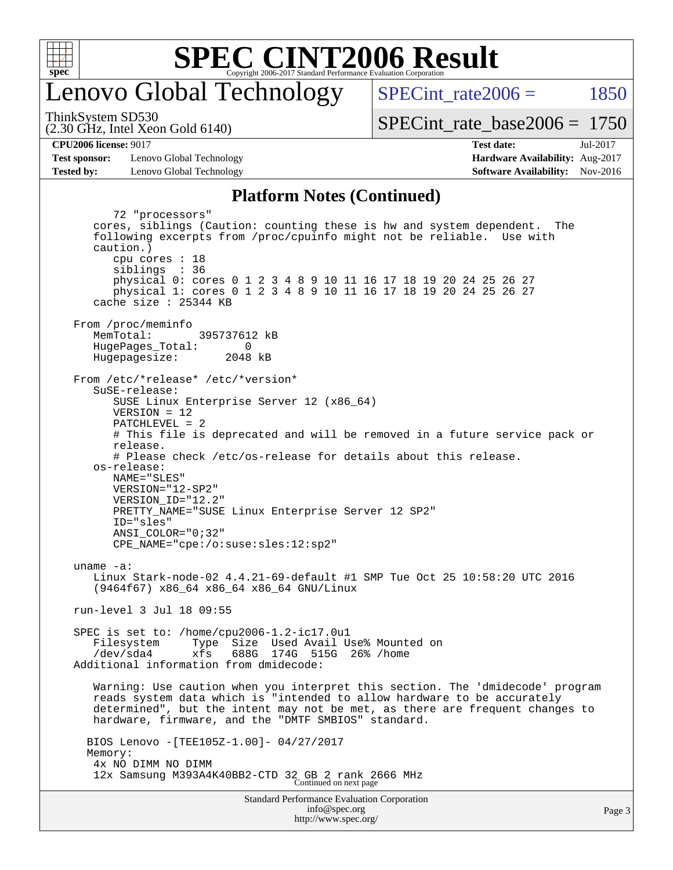

# enovo Global Technology

SPECint rate $2006 = 1850$ 

(2.30 GHz, Intel Xeon Gold 6140) ThinkSystem SD530

[SPECint\\_rate\\_base2006 =](http://www.spec.org/auto/cpu2006/Docs/result-fields.html#SPECintratebase2006) 1750

**[CPU2006 license:](http://www.spec.org/auto/cpu2006/Docs/result-fields.html#CPU2006license)** 9017 **[Test date:](http://www.spec.org/auto/cpu2006/Docs/result-fields.html#Testdate)** Jul-2017

**[Test sponsor:](http://www.spec.org/auto/cpu2006/Docs/result-fields.html#Testsponsor)** Lenovo Global Technology **[Hardware Availability:](http://www.spec.org/auto/cpu2006/Docs/result-fields.html#HardwareAvailability)** Aug-2017 **[Tested by:](http://www.spec.org/auto/cpu2006/Docs/result-fields.html#Testedby)** Lenovo Global Technology **[Software Availability:](http://www.spec.org/auto/cpu2006/Docs/result-fields.html#SoftwareAvailability)** Nov-2016

#### **[Platform Notes \(Continued\)](http://www.spec.org/auto/cpu2006/Docs/result-fields.html#PlatformNotes)**

Standard Performance Evaluation Corporation 72 "processors" cores, siblings (Caution: counting these is hw and system dependent. The following excerpts from /proc/cpuinfo might not be reliable. Use with caution.) cpu cores : 18 siblings : 36 physical 0: cores 0 1 2 3 4 8 9 10 11 16 17 18 19 20 24 25 26 27 physical 1: cores 0 1 2 3 4 8 9 10 11 16 17 18 19 20 24 25 26 27 cache size : 25344 KB From /proc/meminfo<br>MemTotal: 395737612 kB HugePages\_Total: 0<br>Hugepagesize: 2048 kB Hugepagesize: From /etc/\*release\* /etc/\*version\* SuSE-release: SUSE Linux Enterprise Server 12 (x86\_64) VERSION = 12 PATCHLEVEL = 2 # This file is deprecated and will be removed in a future service pack or release. # Please check /etc/os-release for details about this release. os-release: NAME="SLES" VERSION="12-SP2" VERSION\_ID="12.2" PRETTY\_NAME="SUSE Linux Enterprise Server 12 SP2" ID="sles" ANSI\_COLOR="0;32" CPE\_NAME="cpe:/o:suse:sles:12:sp2" uname -a: Linux Stark-node-02 4.4.21-69-default #1 SMP Tue Oct 25 10:58:20 UTC 2016 (9464f67) x86\_64 x86\_64 x86\_64 GNU/Linux run-level 3 Jul 18 09:55 SPEC is set to: /home/cpu2006-1.2-ic17.0u1 Filesystem Type Size Used Avail Use% Mounted on /dev/sda4 xfs 688G 174G 515G 26% /home Additional information from dmidecode: Warning: Use caution when you interpret this section. The 'dmidecode' program reads system data which is "intended to allow hardware to be accurately determined", but the intent may not be met, as there are frequent changes to hardware, firmware, and the "DMTF SMBIOS" standard. BIOS Lenovo -[TEE105Z-1.00]- 04/27/2017 Memory: 4x NO DIMM NO DIMM 12x Samsung M393A4K40BB2-CTD 32 GB 2 rank 2666 MHz Continued on next page

[info@spec.org](mailto:info@spec.org) <http://www.spec.org/>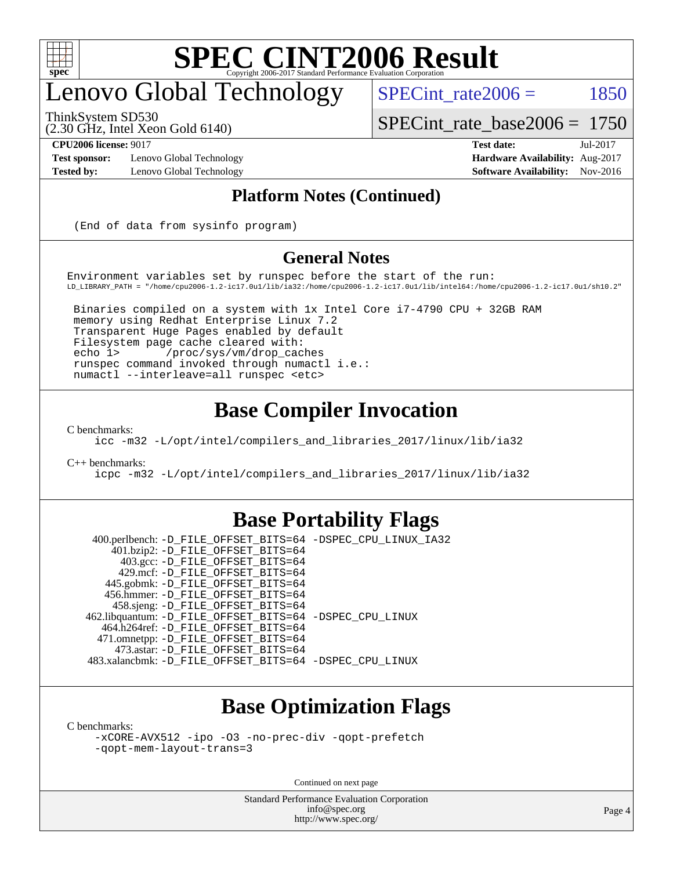

# enovo Global Technology

SPECint rate $2006 = 1850$ 

ThinkSystem SD530

(2.30 GHz, Intel Xeon Gold 6140)

[SPECint\\_rate\\_base2006 =](http://www.spec.org/auto/cpu2006/Docs/result-fields.html#SPECintratebase2006) 1750

**[Test sponsor:](http://www.spec.org/auto/cpu2006/Docs/result-fields.html#Testsponsor)** Lenovo Global Technology **[Hardware Availability:](http://www.spec.org/auto/cpu2006/Docs/result-fields.html#HardwareAvailability)** Aug-2017

**[CPU2006 license:](http://www.spec.org/auto/cpu2006/Docs/result-fields.html#CPU2006license)** 9017 **[Test date:](http://www.spec.org/auto/cpu2006/Docs/result-fields.html#Testdate)** Jul-2017 **[Tested by:](http://www.spec.org/auto/cpu2006/Docs/result-fields.html#Testedby)** Lenovo Global Technology **[Software Availability:](http://www.spec.org/auto/cpu2006/Docs/result-fields.html#SoftwareAvailability)** Nov-2016

#### **[Platform Notes \(Continued\)](http://www.spec.org/auto/cpu2006/Docs/result-fields.html#PlatformNotes)**

(End of data from sysinfo program)

#### **[General Notes](http://www.spec.org/auto/cpu2006/Docs/result-fields.html#GeneralNotes)**

Environment variables set by runspec before the start of the run: LD\_LIBRARY\_PATH = "/home/cpu2006-1.2-ic17.0u1/lib/ia32:/home/cpu2006-1.2-ic17.0u1/lib/intel64:/home/cpu2006-1.2-ic17.0u1/sh10.2"

 Binaries compiled on a system with 1x Intel Core i7-4790 CPU + 32GB RAM memory using Redhat Enterprise Linux 7.2 Transparent Huge Pages enabled by default Filesystem page cache cleared with: echo 1> /proc/sys/vm/drop\_caches runspec command invoked through numactl i.e.: numactl --interleave=all runspec <etc>

### **[Base Compiler Invocation](http://www.spec.org/auto/cpu2006/Docs/result-fields.html#BaseCompilerInvocation)**

[C benchmarks](http://www.spec.org/auto/cpu2006/Docs/result-fields.html#Cbenchmarks):

[icc -m32 -L/opt/intel/compilers\\_and\\_libraries\\_2017/linux/lib/ia32](http://www.spec.org/cpu2006/results/res2017q4/cpu2006-20170918-49654.flags.html#user_CCbase_intel_icc_c29f3ff5a7ed067b11e4ec10a03f03ae)

[C++ benchmarks:](http://www.spec.org/auto/cpu2006/Docs/result-fields.html#CXXbenchmarks)

[icpc -m32 -L/opt/intel/compilers\\_and\\_libraries\\_2017/linux/lib/ia32](http://www.spec.org/cpu2006/results/res2017q4/cpu2006-20170918-49654.flags.html#user_CXXbase_intel_icpc_8c35c7808b62dab9ae41a1aa06361b6b)

#### **[Base Portability Flags](http://www.spec.org/auto/cpu2006/Docs/result-fields.html#BasePortabilityFlags)**

 400.perlbench: [-D\\_FILE\\_OFFSET\\_BITS=64](http://www.spec.org/cpu2006/results/res2017q4/cpu2006-20170918-49654.flags.html#user_basePORTABILITY400_perlbench_file_offset_bits_64_438cf9856305ebd76870a2c6dc2689ab) [-DSPEC\\_CPU\\_LINUX\\_IA32](http://www.spec.org/cpu2006/results/res2017q4/cpu2006-20170918-49654.flags.html#b400.perlbench_baseCPORTABILITY_DSPEC_CPU_LINUX_IA32) 401.bzip2: [-D\\_FILE\\_OFFSET\\_BITS=64](http://www.spec.org/cpu2006/results/res2017q4/cpu2006-20170918-49654.flags.html#user_basePORTABILITY401_bzip2_file_offset_bits_64_438cf9856305ebd76870a2c6dc2689ab) 403.gcc: [-D\\_FILE\\_OFFSET\\_BITS=64](http://www.spec.org/cpu2006/results/res2017q4/cpu2006-20170918-49654.flags.html#user_basePORTABILITY403_gcc_file_offset_bits_64_438cf9856305ebd76870a2c6dc2689ab) 429.mcf: [-D\\_FILE\\_OFFSET\\_BITS=64](http://www.spec.org/cpu2006/results/res2017q4/cpu2006-20170918-49654.flags.html#user_basePORTABILITY429_mcf_file_offset_bits_64_438cf9856305ebd76870a2c6dc2689ab) 445.gobmk: [-D\\_FILE\\_OFFSET\\_BITS=64](http://www.spec.org/cpu2006/results/res2017q4/cpu2006-20170918-49654.flags.html#user_basePORTABILITY445_gobmk_file_offset_bits_64_438cf9856305ebd76870a2c6dc2689ab) 456.hmmer: [-D\\_FILE\\_OFFSET\\_BITS=64](http://www.spec.org/cpu2006/results/res2017q4/cpu2006-20170918-49654.flags.html#user_basePORTABILITY456_hmmer_file_offset_bits_64_438cf9856305ebd76870a2c6dc2689ab) 458.sjeng: [-D\\_FILE\\_OFFSET\\_BITS=64](http://www.spec.org/cpu2006/results/res2017q4/cpu2006-20170918-49654.flags.html#user_basePORTABILITY458_sjeng_file_offset_bits_64_438cf9856305ebd76870a2c6dc2689ab) 462.libquantum: [-D\\_FILE\\_OFFSET\\_BITS=64](http://www.spec.org/cpu2006/results/res2017q4/cpu2006-20170918-49654.flags.html#user_basePORTABILITY462_libquantum_file_offset_bits_64_438cf9856305ebd76870a2c6dc2689ab) [-DSPEC\\_CPU\\_LINUX](http://www.spec.org/cpu2006/results/res2017q4/cpu2006-20170918-49654.flags.html#b462.libquantum_baseCPORTABILITY_DSPEC_CPU_LINUX) 464.h264ref: [-D\\_FILE\\_OFFSET\\_BITS=64](http://www.spec.org/cpu2006/results/res2017q4/cpu2006-20170918-49654.flags.html#user_basePORTABILITY464_h264ref_file_offset_bits_64_438cf9856305ebd76870a2c6dc2689ab) 471.omnetpp: [-D\\_FILE\\_OFFSET\\_BITS=64](http://www.spec.org/cpu2006/results/res2017q4/cpu2006-20170918-49654.flags.html#user_basePORTABILITY471_omnetpp_file_offset_bits_64_438cf9856305ebd76870a2c6dc2689ab) 473.astar: [-D\\_FILE\\_OFFSET\\_BITS=64](http://www.spec.org/cpu2006/results/res2017q4/cpu2006-20170918-49654.flags.html#user_basePORTABILITY473_astar_file_offset_bits_64_438cf9856305ebd76870a2c6dc2689ab) 483.xalancbmk: [-D\\_FILE\\_OFFSET\\_BITS=64](http://www.spec.org/cpu2006/results/res2017q4/cpu2006-20170918-49654.flags.html#user_basePORTABILITY483_xalancbmk_file_offset_bits_64_438cf9856305ebd76870a2c6dc2689ab) [-DSPEC\\_CPU\\_LINUX](http://www.spec.org/cpu2006/results/res2017q4/cpu2006-20170918-49654.flags.html#b483.xalancbmk_baseCXXPORTABILITY_DSPEC_CPU_LINUX)

### **[Base Optimization Flags](http://www.spec.org/auto/cpu2006/Docs/result-fields.html#BaseOptimizationFlags)**

[C benchmarks](http://www.spec.org/auto/cpu2006/Docs/result-fields.html#Cbenchmarks):

[-xCORE-AVX512](http://www.spec.org/cpu2006/results/res2017q4/cpu2006-20170918-49654.flags.html#user_CCbase_f-xCORE-AVX512) [-ipo](http://www.spec.org/cpu2006/results/res2017q4/cpu2006-20170918-49654.flags.html#user_CCbase_f-ipo) [-O3](http://www.spec.org/cpu2006/results/res2017q4/cpu2006-20170918-49654.flags.html#user_CCbase_f-O3) [-no-prec-div](http://www.spec.org/cpu2006/results/res2017q4/cpu2006-20170918-49654.flags.html#user_CCbase_f-no-prec-div) [-qopt-prefetch](http://www.spec.org/cpu2006/results/res2017q4/cpu2006-20170918-49654.flags.html#user_CCbase_f-qopt-prefetch) [-qopt-mem-layout-trans=3](http://www.spec.org/cpu2006/results/res2017q4/cpu2006-20170918-49654.flags.html#user_CCbase_f-qopt-mem-layout-trans_170f5be61cd2cedc9b54468c59262d5d)

Continued on next page

Standard Performance Evaluation Corporation [info@spec.org](mailto:info@spec.org) <http://www.spec.org/>

Page 4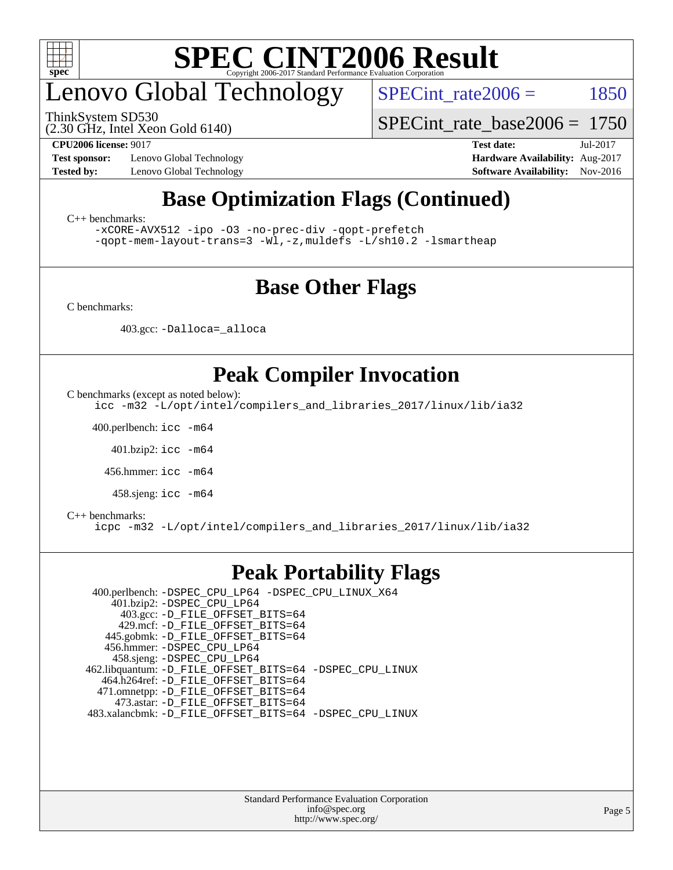

# enovo Global Technology

(2.30 GHz, Intel Xeon Gold 6140) ThinkSystem SD530

SPECint rate $2006 = 1850$ 

[SPECint\\_rate\\_base2006 =](http://www.spec.org/auto/cpu2006/Docs/result-fields.html#SPECintratebase2006) 1750

**[Test sponsor:](http://www.spec.org/auto/cpu2006/Docs/result-fields.html#Testsponsor)** Lenovo Global Technology **[Hardware Availability:](http://www.spec.org/auto/cpu2006/Docs/result-fields.html#HardwareAvailability)** Aug-2017

**[CPU2006 license:](http://www.spec.org/auto/cpu2006/Docs/result-fields.html#CPU2006license)** 9017 **[Test date:](http://www.spec.org/auto/cpu2006/Docs/result-fields.html#Testdate)** Jul-2017 **[Tested by:](http://www.spec.org/auto/cpu2006/Docs/result-fields.html#Testedby)** Lenovo Global Technology **[Software Availability:](http://www.spec.org/auto/cpu2006/Docs/result-fields.html#SoftwareAvailability)** Nov-2016

## **[Base Optimization Flags \(Continued\)](http://www.spec.org/auto/cpu2006/Docs/result-fields.html#BaseOptimizationFlags)**

[C++ benchmarks:](http://www.spec.org/auto/cpu2006/Docs/result-fields.html#CXXbenchmarks)

[-xCORE-AVX512](http://www.spec.org/cpu2006/results/res2017q4/cpu2006-20170918-49654.flags.html#user_CXXbase_f-xCORE-AVX512) [-ipo](http://www.spec.org/cpu2006/results/res2017q4/cpu2006-20170918-49654.flags.html#user_CXXbase_f-ipo) [-O3](http://www.spec.org/cpu2006/results/res2017q4/cpu2006-20170918-49654.flags.html#user_CXXbase_f-O3) [-no-prec-div](http://www.spec.org/cpu2006/results/res2017q4/cpu2006-20170918-49654.flags.html#user_CXXbase_f-no-prec-div) [-qopt-prefetch](http://www.spec.org/cpu2006/results/res2017q4/cpu2006-20170918-49654.flags.html#user_CXXbase_f-qopt-prefetch) [-qopt-mem-layout-trans=3](http://www.spec.org/cpu2006/results/res2017q4/cpu2006-20170918-49654.flags.html#user_CXXbase_f-qopt-mem-layout-trans_170f5be61cd2cedc9b54468c59262d5d) [-Wl,-z,muldefs](http://www.spec.org/cpu2006/results/res2017q4/cpu2006-20170918-49654.flags.html#user_CXXbase_link_force_multiple1_74079c344b956b9658436fd1b6dd3a8a) [-L/sh10.2 -lsmartheap](http://www.spec.org/cpu2006/results/res2017q4/cpu2006-20170918-49654.flags.html#user_CXXbase_SmartHeap_b831f2d313e2fffa6dfe3f00ffc1f1c0)

### **[Base Other Flags](http://www.spec.org/auto/cpu2006/Docs/result-fields.html#BaseOtherFlags)**

[C benchmarks](http://www.spec.org/auto/cpu2006/Docs/result-fields.html#Cbenchmarks):

403.gcc: [-Dalloca=\\_alloca](http://www.spec.org/cpu2006/results/res2017q4/cpu2006-20170918-49654.flags.html#b403.gcc_baseEXTRA_CFLAGS_Dalloca_be3056838c12de2578596ca5467af7f3)

### **[Peak Compiler Invocation](http://www.spec.org/auto/cpu2006/Docs/result-fields.html#PeakCompilerInvocation)**

[C benchmarks \(except as noted below\)](http://www.spec.org/auto/cpu2006/Docs/result-fields.html#Cbenchmarksexceptasnotedbelow):

[icc -m32 -L/opt/intel/compilers\\_and\\_libraries\\_2017/linux/lib/ia32](http://www.spec.org/cpu2006/results/res2017q4/cpu2006-20170918-49654.flags.html#user_CCpeak_intel_icc_c29f3ff5a7ed067b11e4ec10a03f03ae)

400.perlbench: [icc -m64](http://www.spec.org/cpu2006/results/res2017q4/cpu2006-20170918-49654.flags.html#user_peakCCLD400_perlbench_intel_icc_64bit_bda6cc9af1fdbb0edc3795bac97ada53)

401.bzip2: [icc -m64](http://www.spec.org/cpu2006/results/res2017q4/cpu2006-20170918-49654.flags.html#user_peakCCLD401_bzip2_intel_icc_64bit_bda6cc9af1fdbb0edc3795bac97ada53)

456.hmmer: [icc -m64](http://www.spec.org/cpu2006/results/res2017q4/cpu2006-20170918-49654.flags.html#user_peakCCLD456_hmmer_intel_icc_64bit_bda6cc9af1fdbb0edc3795bac97ada53)

458.sjeng: [icc -m64](http://www.spec.org/cpu2006/results/res2017q4/cpu2006-20170918-49654.flags.html#user_peakCCLD458_sjeng_intel_icc_64bit_bda6cc9af1fdbb0edc3795bac97ada53)

#### [C++ benchmarks:](http://www.spec.org/auto/cpu2006/Docs/result-fields.html#CXXbenchmarks)

[icpc -m32 -L/opt/intel/compilers\\_and\\_libraries\\_2017/linux/lib/ia32](http://www.spec.org/cpu2006/results/res2017q4/cpu2006-20170918-49654.flags.html#user_CXXpeak_intel_icpc_8c35c7808b62dab9ae41a1aa06361b6b)

#### **[Peak Portability Flags](http://www.spec.org/auto/cpu2006/Docs/result-fields.html#PeakPortabilityFlags)**

 400.perlbench: [-DSPEC\\_CPU\\_LP64](http://www.spec.org/cpu2006/results/res2017q4/cpu2006-20170918-49654.flags.html#b400.perlbench_peakCPORTABILITY_DSPEC_CPU_LP64) [-DSPEC\\_CPU\\_LINUX\\_X64](http://www.spec.org/cpu2006/results/res2017q4/cpu2006-20170918-49654.flags.html#b400.perlbench_peakCPORTABILITY_DSPEC_CPU_LINUX_X64) 401.bzip2: [-DSPEC\\_CPU\\_LP64](http://www.spec.org/cpu2006/results/res2017q4/cpu2006-20170918-49654.flags.html#suite_peakCPORTABILITY401_bzip2_DSPEC_CPU_LP64) 403.gcc: [-D\\_FILE\\_OFFSET\\_BITS=64](http://www.spec.org/cpu2006/results/res2017q4/cpu2006-20170918-49654.flags.html#user_peakPORTABILITY403_gcc_file_offset_bits_64_438cf9856305ebd76870a2c6dc2689ab) 429.mcf: [-D\\_FILE\\_OFFSET\\_BITS=64](http://www.spec.org/cpu2006/results/res2017q4/cpu2006-20170918-49654.flags.html#user_peakPORTABILITY429_mcf_file_offset_bits_64_438cf9856305ebd76870a2c6dc2689ab) 445.gobmk: [-D\\_FILE\\_OFFSET\\_BITS=64](http://www.spec.org/cpu2006/results/res2017q4/cpu2006-20170918-49654.flags.html#user_peakPORTABILITY445_gobmk_file_offset_bits_64_438cf9856305ebd76870a2c6dc2689ab) 456.hmmer: [-DSPEC\\_CPU\\_LP64](http://www.spec.org/cpu2006/results/res2017q4/cpu2006-20170918-49654.flags.html#suite_peakCPORTABILITY456_hmmer_DSPEC_CPU_LP64) 458.sjeng: [-DSPEC\\_CPU\\_LP64](http://www.spec.org/cpu2006/results/res2017q4/cpu2006-20170918-49654.flags.html#suite_peakCPORTABILITY458_sjeng_DSPEC_CPU_LP64) 462.libquantum: [-D\\_FILE\\_OFFSET\\_BITS=64](http://www.spec.org/cpu2006/results/res2017q4/cpu2006-20170918-49654.flags.html#user_peakPORTABILITY462_libquantum_file_offset_bits_64_438cf9856305ebd76870a2c6dc2689ab) [-DSPEC\\_CPU\\_LINUX](http://www.spec.org/cpu2006/results/res2017q4/cpu2006-20170918-49654.flags.html#b462.libquantum_peakCPORTABILITY_DSPEC_CPU_LINUX) 464.h264ref: [-D\\_FILE\\_OFFSET\\_BITS=64](http://www.spec.org/cpu2006/results/res2017q4/cpu2006-20170918-49654.flags.html#user_peakPORTABILITY464_h264ref_file_offset_bits_64_438cf9856305ebd76870a2c6dc2689ab) 471.omnetpp: [-D\\_FILE\\_OFFSET\\_BITS=64](http://www.spec.org/cpu2006/results/res2017q4/cpu2006-20170918-49654.flags.html#user_peakPORTABILITY471_omnetpp_file_offset_bits_64_438cf9856305ebd76870a2c6dc2689ab) 473.astar: [-D\\_FILE\\_OFFSET\\_BITS=64](http://www.spec.org/cpu2006/results/res2017q4/cpu2006-20170918-49654.flags.html#user_peakPORTABILITY473_astar_file_offset_bits_64_438cf9856305ebd76870a2c6dc2689ab) 483.xalancbmk: [-D\\_FILE\\_OFFSET\\_BITS=64](http://www.spec.org/cpu2006/results/res2017q4/cpu2006-20170918-49654.flags.html#user_peakPORTABILITY483_xalancbmk_file_offset_bits_64_438cf9856305ebd76870a2c6dc2689ab) [-DSPEC\\_CPU\\_LINUX](http://www.spec.org/cpu2006/results/res2017q4/cpu2006-20170918-49654.flags.html#b483.xalancbmk_peakCXXPORTABILITY_DSPEC_CPU_LINUX)

> Standard Performance Evaluation Corporation [info@spec.org](mailto:info@spec.org) <http://www.spec.org/>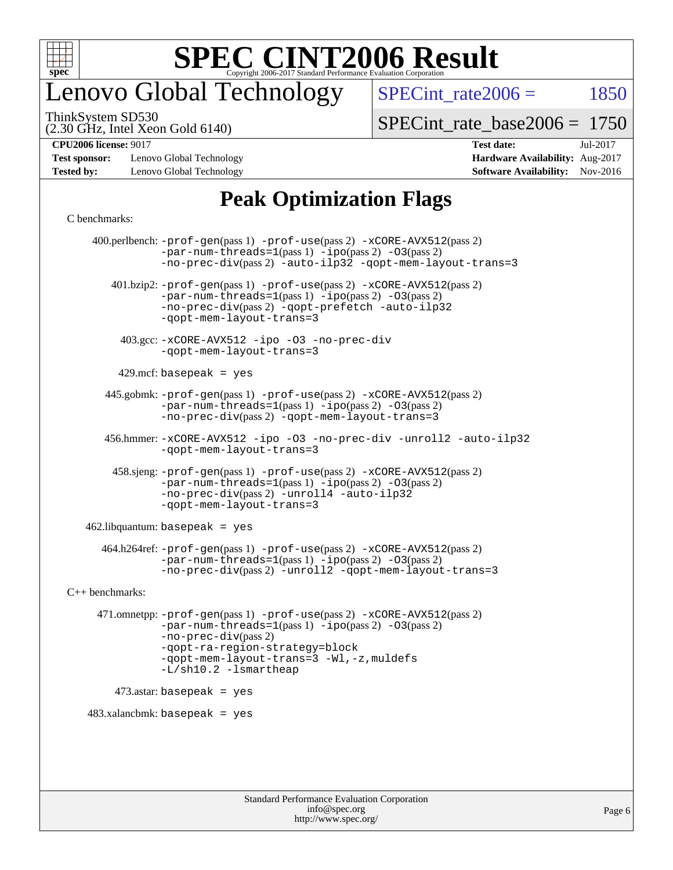

# enovo Global Technology

SPECint rate $2006 = 1850$ 

(2.30 GHz, Intel Xeon Gold 6140) ThinkSystem SD530

[SPECint\\_rate\\_base2006 =](http://www.spec.org/auto/cpu2006/Docs/result-fields.html#SPECintratebase2006) 1750

**[Test sponsor:](http://www.spec.org/auto/cpu2006/Docs/result-fields.html#Testsponsor)** Lenovo Global Technology **[Hardware Availability:](http://www.spec.org/auto/cpu2006/Docs/result-fields.html#HardwareAvailability)** Aug-2017 **[Tested by:](http://www.spec.org/auto/cpu2006/Docs/result-fields.html#Testedby)** Lenovo Global Technology **[Software Availability:](http://www.spec.org/auto/cpu2006/Docs/result-fields.html#SoftwareAvailability)** Nov-2016

**[CPU2006 license:](http://www.spec.org/auto/cpu2006/Docs/result-fields.html#CPU2006license)** 9017 **[Test date:](http://www.spec.org/auto/cpu2006/Docs/result-fields.html#Testdate)** Jul-2017

### **[Peak Optimization Flags](http://www.spec.org/auto/cpu2006/Docs/result-fields.html#PeakOptimizationFlags)**

#### [C benchmarks](http://www.spec.org/auto/cpu2006/Docs/result-fields.html#Cbenchmarks):

 400.perlbench: [-prof-gen](http://www.spec.org/cpu2006/results/res2017q4/cpu2006-20170918-49654.flags.html#user_peakPASS1_CFLAGSPASS1_LDCFLAGS400_perlbench_prof_gen_e43856698f6ca7b7e442dfd80e94a8fc)(pass 1) [-prof-use](http://www.spec.org/cpu2006/results/res2017q4/cpu2006-20170918-49654.flags.html#user_peakPASS2_CFLAGSPASS2_LDCFLAGS400_perlbench_prof_use_bccf7792157ff70d64e32fe3e1250b55)(pass 2) [-xCORE-AVX512](http://www.spec.org/cpu2006/results/res2017q4/cpu2006-20170918-49654.flags.html#user_peakPASS2_CFLAGSPASS2_LDCFLAGS400_perlbench_f-xCORE-AVX512)(pass 2)  $-par-num-threads=1(pass 1) -ipo(pass 2) -O3(pass 2)$  $-par-num-threads=1(pass 1) -ipo(pass 2) -O3(pass 2)$  $-par-num-threads=1(pass 1) -ipo(pass 2) -O3(pass 2)$  $-par-num-threads=1(pass 1) -ipo(pass 2) -O3(pass 2)$  $-par-num-threads=1(pass 1) -ipo(pass 2) -O3(pass 2)$  $-par-num-threads=1(pass 1) -ipo(pass 2) -O3(pass 2)$ [-no-prec-div](http://www.spec.org/cpu2006/results/res2017q4/cpu2006-20170918-49654.flags.html#user_peakPASS2_CFLAGSPASS2_LDCFLAGS400_perlbench_f-no-prec-div)(pass 2) [-auto-ilp32](http://www.spec.org/cpu2006/results/res2017q4/cpu2006-20170918-49654.flags.html#user_peakCOPTIMIZE400_perlbench_f-auto-ilp32) [-qopt-mem-layout-trans=3](http://www.spec.org/cpu2006/results/res2017q4/cpu2006-20170918-49654.flags.html#user_peakCOPTIMIZE400_perlbench_f-qopt-mem-layout-trans_170f5be61cd2cedc9b54468c59262d5d) 401.bzip2: [-prof-gen](http://www.spec.org/cpu2006/results/res2017q4/cpu2006-20170918-49654.flags.html#user_peakPASS1_CFLAGSPASS1_LDCFLAGS401_bzip2_prof_gen_e43856698f6ca7b7e442dfd80e94a8fc)(pass 1) [-prof-use](http://www.spec.org/cpu2006/results/res2017q4/cpu2006-20170918-49654.flags.html#user_peakPASS2_CFLAGSPASS2_LDCFLAGS401_bzip2_prof_use_bccf7792157ff70d64e32fe3e1250b55)(pass 2) [-xCORE-AVX512](http://www.spec.org/cpu2006/results/res2017q4/cpu2006-20170918-49654.flags.html#user_peakPASS2_CFLAGSPASS2_LDCFLAGS401_bzip2_f-xCORE-AVX512)(pass 2) [-par-num-threads=1](http://www.spec.org/cpu2006/results/res2017q4/cpu2006-20170918-49654.flags.html#user_peakPASS1_CFLAGSPASS1_LDCFLAGS401_bzip2_par_num_threads_786a6ff141b4e9e90432e998842df6c2)(pass 1) [-ipo](http://www.spec.org/cpu2006/results/res2017q4/cpu2006-20170918-49654.flags.html#user_peakPASS2_CFLAGSPASS2_LDCFLAGS401_bzip2_f-ipo)(pass 2) [-O3](http://www.spec.org/cpu2006/results/res2017q4/cpu2006-20170918-49654.flags.html#user_peakPASS2_CFLAGSPASS2_LDCFLAGS401_bzip2_f-O3)(pass 2) [-no-prec-div](http://www.spec.org/cpu2006/results/res2017q4/cpu2006-20170918-49654.flags.html#user_peakPASS2_CFLAGSPASS2_LDCFLAGS401_bzip2_f-no-prec-div)(pass 2) [-qopt-prefetch](http://www.spec.org/cpu2006/results/res2017q4/cpu2006-20170918-49654.flags.html#user_peakCOPTIMIZE401_bzip2_f-qopt-prefetch) [-auto-ilp32](http://www.spec.org/cpu2006/results/res2017q4/cpu2006-20170918-49654.flags.html#user_peakCOPTIMIZE401_bzip2_f-auto-ilp32) [-qopt-mem-layout-trans=3](http://www.spec.org/cpu2006/results/res2017q4/cpu2006-20170918-49654.flags.html#user_peakCOPTIMIZE401_bzip2_f-qopt-mem-layout-trans_170f5be61cd2cedc9b54468c59262d5d) 403.gcc: [-xCORE-AVX512](http://www.spec.org/cpu2006/results/res2017q4/cpu2006-20170918-49654.flags.html#user_peakOPTIMIZE403_gcc_f-xCORE-AVX512) [-ipo](http://www.spec.org/cpu2006/results/res2017q4/cpu2006-20170918-49654.flags.html#user_peakOPTIMIZE403_gcc_f-ipo) [-O3](http://www.spec.org/cpu2006/results/res2017q4/cpu2006-20170918-49654.flags.html#user_peakOPTIMIZE403_gcc_f-O3) [-no-prec-div](http://www.spec.org/cpu2006/results/res2017q4/cpu2006-20170918-49654.flags.html#user_peakOPTIMIZE403_gcc_f-no-prec-div) [-qopt-mem-layout-trans=3](http://www.spec.org/cpu2006/results/res2017q4/cpu2006-20170918-49654.flags.html#user_peakCOPTIMIZE403_gcc_f-qopt-mem-layout-trans_170f5be61cd2cedc9b54468c59262d5d)  $429$ .mcf: basepeak = yes 445.gobmk: [-prof-gen](http://www.spec.org/cpu2006/results/res2017q4/cpu2006-20170918-49654.flags.html#user_peakPASS1_CFLAGSPASS1_LDCFLAGS445_gobmk_prof_gen_e43856698f6ca7b7e442dfd80e94a8fc)(pass 1) [-prof-use](http://www.spec.org/cpu2006/results/res2017q4/cpu2006-20170918-49654.flags.html#user_peakPASS2_CFLAGSPASS2_LDCFLAGSPASS2_LDFLAGS445_gobmk_prof_use_bccf7792157ff70d64e32fe3e1250b55)(pass 2) [-xCORE-AVX512](http://www.spec.org/cpu2006/results/res2017q4/cpu2006-20170918-49654.flags.html#user_peakPASS2_CFLAGSPASS2_LDCFLAGSPASS2_LDFLAGS445_gobmk_f-xCORE-AVX512)(pass 2) [-par-num-threads=1](http://www.spec.org/cpu2006/results/res2017q4/cpu2006-20170918-49654.flags.html#user_peakPASS1_CFLAGSPASS1_LDCFLAGS445_gobmk_par_num_threads_786a6ff141b4e9e90432e998842df6c2)(pass 1) [-ipo](http://www.spec.org/cpu2006/results/res2017q4/cpu2006-20170918-49654.flags.html#user_peakPASS2_LDCFLAGS445_gobmk_f-ipo)(pass 2) [-O3](http://www.spec.org/cpu2006/results/res2017q4/cpu2006-20170918-49654.flags.html#user_peakPASS2_LDCFLAGS445_gobmk_f-O3)(pass 2) [-no-prec-div](http://www.spec.org/cpu2006/results/res2017q4/cpu2006-20170918-49654.flags.html#user_peakPASS2_LDCFLAGS445_gobmk_f-no-prec-div)(pass 2) [-qopt-mem-layout-trans=3](http://www.spec.org/cpu2006/results/res2017q4/cpu2006-20170918-49654.flags.html#user_peakCOPTIMIZE445_gobmk_f-qopt-mem-layout-trans_170f5be61cd2cedc9b54468c59262d5d) 456.hmmer: [-xCORE-AVX512](http://www.spec.org/cpu2006/results/res2017q4/cpu2006-20170918-49654.flags.html#user_peakOPTIMIZE456_hmmer_f-xCORE-AVX512) [-ipo](http://www.spec.org/cpu2006/results/res2017q4/cpu2006-20170918-49654.flags.html#user_peakOPTIMIZE456_hmmer_f-ipo) [-O3](http://www.spec.org/cpu2006/results/res2017q4/cpu2006-20170918-49654.flags.html#user_peakOPTIMIZE456_hmmer_f-O3) [-no-prec-div](http://www.spec.org/cpu2006/results/res2017q4/cpu2006-20170918-49654.flags.html#user_peakOPTIMIZE456_hmmer_f-no-prec-div) [-unroll2](http://www.spec.org/cpu2006/results/res2017q4/cpu2006-20170918-49654.flags.html#user_peakCOPTIMIZE456_hmmer_f-unroll_784dae83bebfb236979b41d2422d7ec2) [-auto-ilp32](http://www.spec.org/cpu2006/results/res2017q4/cpu2006-20170918-49654.flags.html#user_peakCOPTIMIZE456_hmmer_f-auto-ilp32) [-qopt-mem-layout-trans=3](http://www.spec.org/cpu2006/results/res2017q4/cpu2006-20170918-49654.flags.html#user_peakCOPTIMIZE456_hmmer_f-qopt-mem-layout-trans_170f5be61cd2cedc9b54468c59262d5d) 458.sjeng: [-prof-gen](http://www.spec.org/cpu2006/results/res2017q4/cpu2006-20170918-49654.flags.html#user_peakPASS1_CFLAGSPASS1_LDCFLAGS458_sjeng_prof_gen_e43856698f6ca7b7e442dfd80e94a8fc)(pass 1) [-prof-use](http://www.spec.org/cpu2006/results/res2017q4/cpu2006-20170918-49654.flags.html#user_peakPASS2_CFLAGSPASS2_LDCFLAGS458_sjeng_prof_use_bccf7792157ff70d64e32fe3e1250b55)(pass 2) [-xCORE-AVX512](http://www.spec.org/cpu2006/results/res2017q4/cpu2006-20170918-49654.flags.html#user_peakPASS2_CFLAGSPASS2_LDCFLAGS458_sjeng_f-xCORE-AVX512)(pass 2) [-par-num-threads=1](http://www.spec.org/cpu2006/results/res2017q4/cpu2006-20170918-49654.flags.html#user_peakPASS1_CFLAGSPASS1_LDCFLAGS458_sjeng_par_num_threads_786a6ff141b4e9e90432e998842df6c2)(pass 1) [-ipo](http://www.spec.org/cpu2006/results/res2017q4/cpu2006-20170918-49654.flags.html#user_peakPASS2_CFLAGSPASS2_LDCFLAGS458_sjeng_f-ipo)(pass 2) [-O3](http://www.spec.org/cpu2006/results/res2017q4/cpu2006-20170918-49654.flags.html#user_peakPASS2_CFLAGSPASS2_LDCFLAGS458_sjeng_f-O3)(pass 2) [-no-prec-div](http://www.spec.org/cpu2006/results/res2017q4/cpu2006-20170918-49654.flags.html#user_peakPASS2_CFLAGSPASS2_LDCFLAGS458_sjeng_f-no-prec-div)(pass 2) [-unroll4](http://www.spec.org/cpu2006/results/res2017q4/cpu2006-20170918-49654.flags.html#user_peakCOPTIMIZE458_sjeng_f-unroll_4e5e4ed65b7fd20bdcd365bec371b81f) [-auto-ilp32](http://www.spec.org/cpu2006/results/res2017q4/cpu2006-20170918-49654.flags.html#user_peakCOPTIMIZE458_sjeng_f-auto-ilp32) [-qopt-mem-layout-trans=3](http://www.spec.org/cpu2006/results/res2017q4/cpu2006-20170918-49654.flags.html#user_peakCOPTIMIZE458_sjeng_f-qopt-mem-layout-trans_170f5be61cd2cedc9b54468c59262d5d)  $462$ .libquantum: basepeak = yes 464.h264ref: [-prof-gen](http://www.spec.org/cpu2006/results/res2017q4/cpu2006-20170918-49654.flags.html#user_peakPASS1_CFLAGSPASS1_LDCFLAGS464_h264ref_prof_gen_e43856698f6ca7b7e442dfd80e94a8fc)(pass 1) [-prof-use](http://www.spec.org/cpu2006/results/res2017q4/cpu2006-20170918-49654.flags.html#user_peakPASS2_CFLAGSPASS2_LDCFLAGS464_h264ref_prof_use_bccf7792157ff70d64e32fe3e1250b55)(pass 2) [-xCORE-AVX512](http://www.spec.org/cpu2006/results/res2017q4/cpu2006-20170918-49654.flags.html#user_peakPASS2_CFLAGSPASS2_LDCFLAGS464_h264ref_f-xCORE-AVX512)(pass 2) [-par-num-threads=1](http://www.spec.org/cpu2006/results/res2017q4/cpu2006-20170918-49654.flags.html#user_peakPASS1_CFLAGSPASS1_LDCFLAGS464_h264ref_par_num_threads_786a6ff141b4e9e90432e998842df6c2)(pass 1) [-ipo](http://www.spec.org/cpu2006/results/res2017q4/cpu2006-20170918-49654.flags.html#user_peakPASS2_CFLAGSPASS2_LDCFLAGS464_h264ref_f-ipo)(pass 2) [-O3](http://www.spec.org/cpu2006/results/res2017q4/cpu2006-20170918-49654.flags.html#user_peakPASS2_CFLAGSPASS2_LDCFLAGS464_h264ref_f-O3)(pass 2) [-no-prec-div](http://www.spec.org/cpu2006/results/res2017q4/cpu2006-20170918-49654.flags.html#user_peakPASS2_CFLAGSPASS2_LDCFLAGS464_h264ref_f-no-prec-div)(pass 2) [-unroll2](http://www.spec.org/cpu2006/results/res2017q4/cpu2006-20170918-49654.flags.html#user_peakCOPTIMIZE464_h264ref_f-unroll_784dae83bebfb236979b41d2422d7ec2) [-qopt-mem-layout-trans=3](http://www.spec.org/cpu2006/results/res2017q4/cpu2006-20170918-49654.flags.html#user_peakCOPTIMIZE464_h264ref_f-qopt-mem-layout-trans_170f5be61cd2cedc9b54468c59262d5d) [C++ benchmarks:](http://www.spec.org/auto/cpu2006/Docs/result-fields.html#CXXbenchmarks) 471.omnetpp: [-prof-gen](http://www.spec.org/cpu2006/results/res2017q4/cpu2006-20170918-49654.flags.html#user_peakPASS1_CXXFLAGSPASS1_LDCXXFLAGS471_omnetpp_prof_gen_e43856698f6ca7b7e442dfd80e94a8fc)(pass 1) [-prof-use](http://www.spec.org/cpu2006/results/res2017q4/cpu2006-20170918-49654.flags.html#user_peakPASS2_CXXFLAGSPASS2_LDCXXFLAGS471_omnetpp_prof_use_bccf7792157ff70d64e32fe3e1250b55)(pass 2) [-xCORE-AVX512](http://www.spec.org/cpu2006/results/res2017q4/cpu2006-20170918-49654.flags.html#user_peakPASS2_CXXFLAGSPASS2_LDCXXFLAGS471_omnetpp_f-xCORE-AVX512)(pass 2) [-par-num-threads=1](http://www.spec.org/cpu2006/results/res2017q4/cpu2006-20170918-49654.flags.html#user_peakPASS1_CXXFLAGSPASS1_LDCXXFLAGS471_omnetpp_par_num_threads_786a6ff141b4e9e90432e998842df6c2)(pass 1) [-ipo](http://www.spec.org/cpu2006/results/res2017q4/cpu2006-20170918-49654.flags.html#user_peakPASS2_CXXFLAGSPASS2_LDCXXFLAGS471_omnetpp_f-ipo)(pass 2) [-O3](http://www.spec.org/cpu2006/results/res2017q4/cpu2006-20170918-49654.flags.html#user_peakPASS2_CXXFLAGSPASS2_LDCXXFLAGS471_omnetpp_f-O3)(pass 2) [-no-prec-div](http://www.spec.org/cpu2006/results/res2017q4/cpu2006-20170918-49654.flags.html#user_peakPASS2_CXXFLAGSPASS2_LDCXXFLAGS471_omnetpp_f-no-prec-div)(pass 2) [-qopt-ra-region-strategy=block](http://www.spec.org/cpu2006/results/res2017q4/cpu2006-20170918-49654.flags.html#user_peakCXXOPTIMIZE471_omnetpp_f-qopt-ra-region-strategy_430aa8f7c220cbde92ae827fa8d9be32)  [-qopt-mem-layout-trans=3](http://www.spec.org/cpu2006/results/res2017q4/cpu2006-20170918-49654.flags.html#user_peakCXXOPTIMIZE471_omnetpp_f-qopt-mem-layout-trans_170f5be61cd2cedc9b54468c59262d5d) [-Wl,-z,muldefs](http://www.spec.org/cpu2006/results/res2017q4/cpu2006-20170918-49654.flags.html#user_peakEXTRA_LDFLAGS471_omnetpp_link_force_multiple1_74079c344b956b9658436fd1b6dd3a8a) [-L/sh10.2 -lsmartheap](http://www.spec.org/cpu2006/results/res2017q4/cpu2006-20170918-49654.flags.html#user_peakEXTRA_LIBS471_omnetpp_SmartHeap_b831f2d313e2fffa6dfe3f00ffc1f1c0) 473.astar: basepeak = yes  $483.xalanchmk: basepeak = yes$